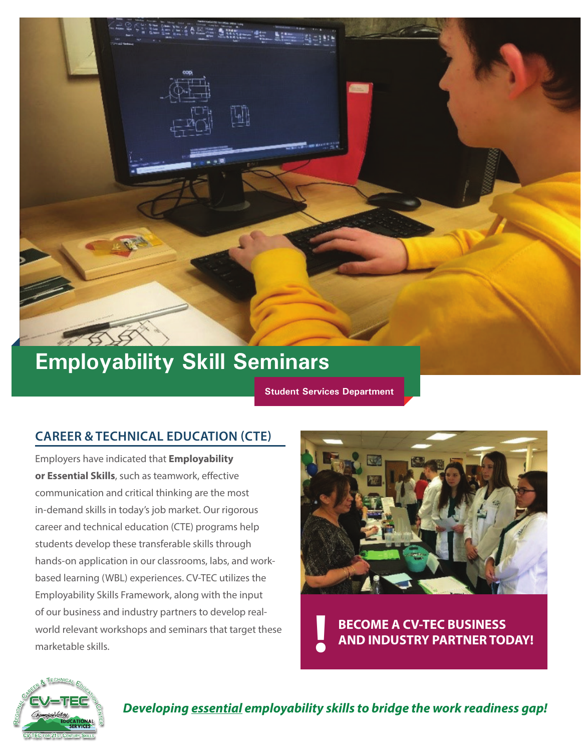

# **Employability Skill Seminars**

**Student Services Department**

#### **CAREER & TECHNICAL EDUCATION (CTE)**

Employers have indicated that **Employability or Essential Skills**, such as teamwork, effective communication and critical thinking are the most in-demand skills in today's job market. Our rigorous career and technical education (CTE) programs help students develop these transferable skills through hands-on application in our classrooms, labs, and workbased learning (WBL) experiences. CV-TEC utilizes the Employability Skills Framework, along with the input of our business and industry partners to develop realworld relevant workshops and seminars that target these marketable skills.



**BECOME A CV-TEC BUSINESS AND INDUSTRY PARTNER TODAY! !**



*Developing essential employability skills to bridge the work readiness gap!*